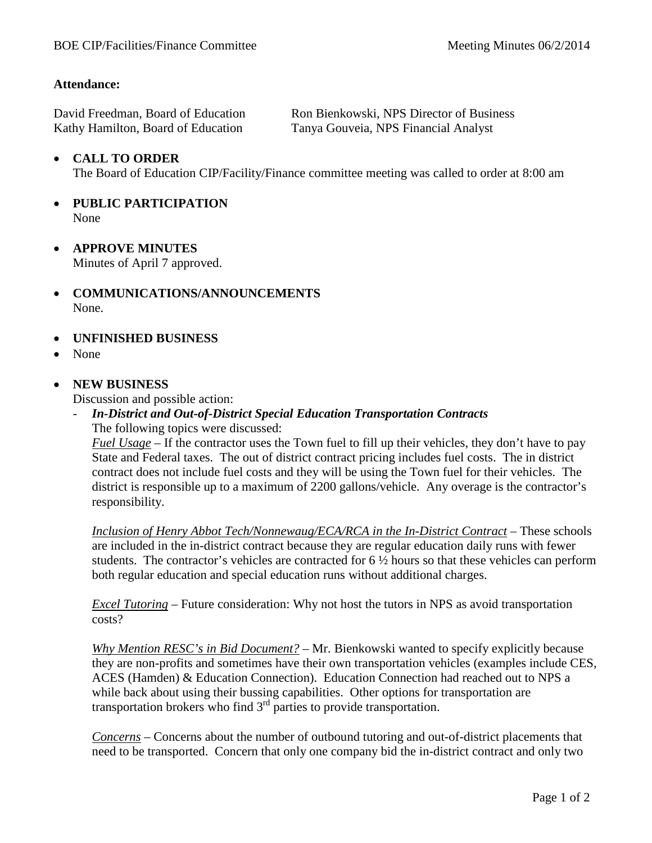## **Attendance:**

| David Freedman, Board of Education | Ron Bienkowski, NPS Director of Business |
|------------------------------------|------------------------------------------|
| Kathy Hamilton, Board of Education | Tanya Gouveia, NPS Financial Analyst     |

## • **CALL TO ORDER**

The Board of Education CIP/Facility/Finance committee meeting was called to order at 8:00 am

- **PUBLIC PARTICIPATION** None
- **APPROVE MINUTES** Minutes of April 7 approved.
- **COMMUNICATIONS/ANNOUNCEMENTS** None.
- **UNFINISHED BUSINESS**
- None

## • **NEW BUSINESS**

Discussion and possible action:

- *In-District and Out-of-District Special Education Transportation Contracts* The following topics were discussed:

*Fuel Usage* – If the contractor uses the Town fuel to fill up their vehicles, they don't have to pay State and Federal taxes. The out of district contract pricing includes fuel costs. The in district contract does not include fuel costs and they will be using the Town fuel for their vehicles. The district is responsible up to a maximum of 2200 gallons/vehicle. Any overage is the contractor's responsibility.

*Inclusion of Henry Abbot Tech/Nonnewaug/ECA/RCA in the In-District Contract* – These schools are included in the in-district contract because they are regular education daily runs with fewer students. The contractor's vehicles are contracted for 6 ½ hours so that these vehicles can perform both regular education and special education runs without additional charges.

*Excel Tutoring* – Future consideration: Why not host the tutors in NPS as avoid transportation costs?

*Why Mention RESC's in Bid Document?* – Mr. Bienkowski wanted to specify explicitly because they are non-profits and sometimes have their own transportation vehicles (examples include CES, ACES (Hamden) & Education Connection). Education Connection had reached out to NPS a while back about using their bussing capabilities. Other options for transportation are transportation brokers who find  $3<sup>rd</sup>$  parties to provide transportation.

*Concerns* – Concerns about the number of outbound tutoring and out-of-district placements that need to be transported. Concern that only one company bid the in-district contract and only two